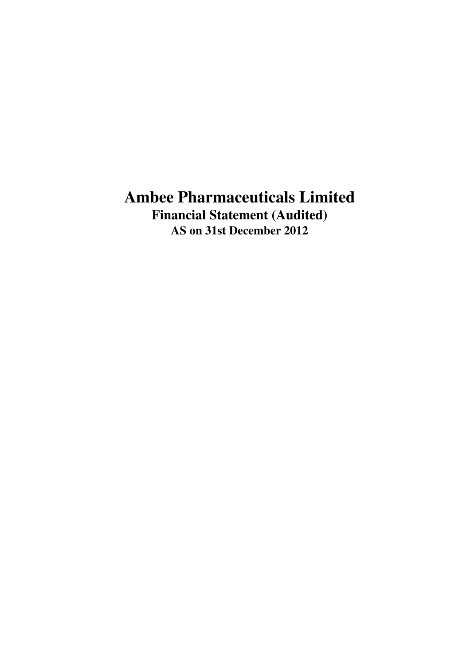# **Ambee Pharmaceuticals Limited Financial Statement (Audited) AS on 31st December 2012**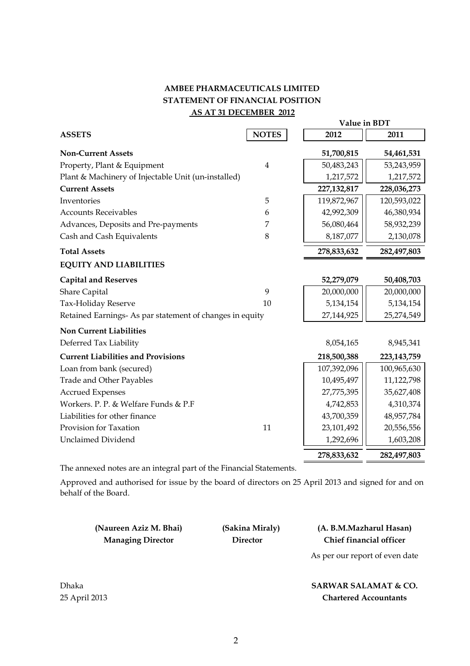## **AMBEE PHARMACEUTICALS LIMITED STATEMENT OF FINANCIAL POSITION AS AT 31 DECEMBER 2012**

|                                                          |                | Value in BDT  |               |  |
|----------------------------------------------------------|----------------|---------------|---------------|--|
| <b>ASSETS</b>                                            | <b>NOTES</b>   | 2012          | 2011          |  |
| <b>Non-Current Assets</b>                                |                | 51,700,815    | 54,461,531    |  |
| Property, Plant & Equipment                              | $\overline{4}$ | 50,483,243    | 53,243,959    |  |
| Plant & Machinery of Injectable Unit (un-installed)      |                | 1,217,572     | 1,217,572     |  |
| <b>Current Assets</b>                                    |                | 227, 132, 817 | 228,036,273   |  |
| Inventories                                              | 5              | 119,872,967   | 120,593,022   |  |
| <b>Accounts Receivables</b>                              | 6              | 42,992,309    | 46,380,934    |  |
| Advances, Deposits and Pre-payments                      | 7              | 56,080,464    | 58,932,239    |  |
| Cash and Cash Equivalents                                | 8              | 8,187,077     | 2,130,078     |  |
| <b>Total Assets</b>                                      |                | 278,833,632   | 282,497,803   |  |
| <b>EQUITY AND LIABILITIES</b>                            |                |               |               |  |
| <b>Capital and Reserves</b>                              |                | 52,279,079    | 50,408,703    |  |
| <b>Share Capital</b>                                     | 9              | 20,000,000    | 20,000,000    |  |
| Tax-Holiday Reserve                                      | 10             | 5,134,154     | 5,134,154     |  |
| Retained Earnings- As par statement of changes in equity |                | 27,144,925    | 25,274,549    |  |
| <b>Non Current Liabilities</b>                           |                |               |               |  |
| Deferred Tax Liability                                   |                | 8,054,165     | 8,945,341     |  |
| <b>Current Liabilities and Provisions</b>                |                | 218,500,388   | 223, 143, 759 |  |
| Loan from bank (secured)                                 |                | 107,392,096   | 100,965,630   |  |
| <b>Trade and Other Payables</b>                          |                | 10,495,497    | 11,122,798    |  |
| <b>Accrued Expenses</b>                                  |                | 27,775,395    | 35,627,408    |  |
| Workers, P. P. & Welfare Funds & P.F                     |                | 4,742,853     | 4,310,374     |  |
| Liabilities for other finance                            |                | 43,700,359    | 48,957,784    |  |
| Provision for Taxation                                   | 11             | 23,101,492    | 20,556,556    |  |
| <b>Unclaimed Dividend</b>                                |                | 1,292,696     | 1,603,208     |  |
|                                                          |                | 278,833,632   | 282,497,803   |  |

The annexed notes are an integral part of the Financial Statements.

Approved and authorised for issue by the board of directors on 25 April 2013 and signed for and on behalf of the Board.

| (Naureen Aziz M. Bhai)   |
|--------------------------|
| <b>Managing Director</b> |

## **Director Chief financial officer (Sakina Miraly) (A. B.M.Mazharul Hasan)**

As per our report of even date

## **SARWAR SALAMAT & CO. Chartered Accountants**

Dhaka 25 April 2013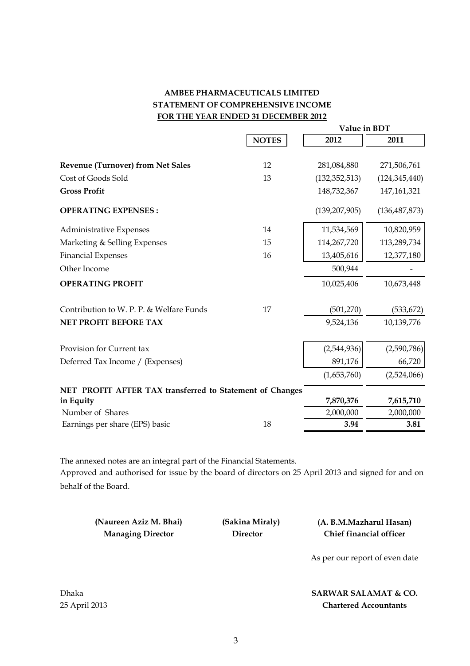## **AMBEE PHARMACEUTICALS LIMITED STATEMENT OF COMPREHENSIVE INCOME FOR THE YEAR ENDED 31 DECEMBER 2012**

|                                                          |              | Value in BDT    |                 |
|----------------------------------------------------------|--------------|-----------------|-----------------|
|                                                          | <b>NOTES</b> | 2012            | 2011            |
|                                                          |              |                 |                 |
| <b>Revenue (Turnover) from Net Sales</b>                 | 12           | 281,084,880     | 271,506,761     |
| Cost of Goods Sold                                       | 13           | (132, 352, 513) | (124, 345, 440) |
| <b>Gross Profit</b>                                      |              | 148,732,367     | 147, 161, 321   |
| <b>OPERATING EXPENSES:</b>                               |              | (139, 207, 905) | (136, 487, 873) |
| <b>Administrative Expenses</b>                           | 14           | 11,534,569      | 10,820,959      |
| Marketing & Selling Expenses                             | 15           | 114,267,720     | 113,289,734     |
| <b>Financial Expenses</b>                                | 16           | 13,405,616      | 12,377,180      |
| Other Income                                             |              | 500,944         |                 |
| <b>OPERATING PROFIT</b>                                  |              | 10,025,406      | 10,673,448      |
| Contribution to W. P. P. & Welfare Funds                 | 17           | (501, 270)      | (533, 672)      |
| NET PROFIT BEFORE TAX                                    |              | 9,524,136       | 10,139,776      |
| Provision for Current tax                                |              | (2,544,936)     | (2,590,786)     |
| Deferred Tax Income / (Expenses)                         |              | 891,176         | 66,720          |
|                                                          |              | (1,653,760)     | (2,524,066)     |
| NET PROFIT AFTER TAX transferred to Statement of Changes |              |                 |                 |
| in Equity                                                |              | 7,870,376       | 7,615,710       |
| Number of Shares                                         |              | 2,000,000       | 2,000,000       |
| Earnings per share (EPS) basic                           | 18           | 3.94            | 3.81            |

The annexed notes are an integral part of the Financial Statements. Approved and authorised for issue by the board of directors on 25 April 2013 and signed for and on behalf of the Board.

**(Naureen Aziz M. Bhai) Managing Director** 

 **(Sakina Miraly) (A. B.M.Mazharul Hasan) Director Chief financial officer**

As per our report of even date

**SARWAR SALAMAT & CO. Chartered Accountants**

Dhaka 25 April 2013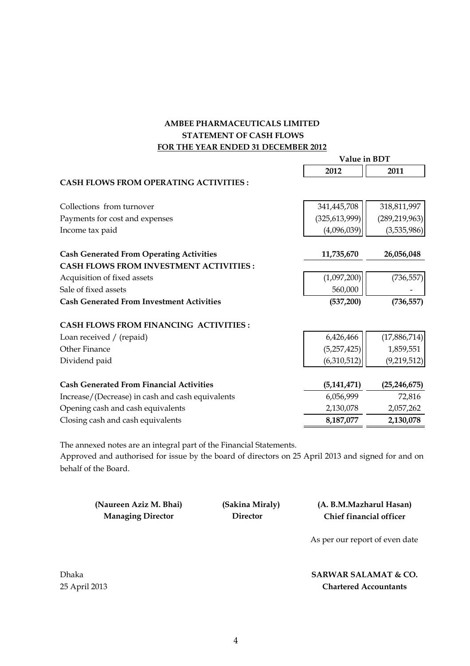## **FOR THE YEAR ENDED 31 DECEMBER 2012 AMBEE PHARMACEUTICALS LIMITED STATEMENT OF CASH FLOWS**

|                                                  | Value in BDT    |                 |  |
|--------------------------------------------------|-----------------|-----------------|--|
|                                                  | 2012            | 2011            |  |
| <b>CASH FLOWS FROM OPERATING ACTIVITIES:</b>     |                 |                 |  |
| Collections from turnover                        | 341,445,708     | 318,811,997     |  |
| Payments for cost and expenses                   | (325, 613, 999) | (289, 219, 963) |  |
| Income tax paid                                  | (4,096,039)     | (3,535,986)     |  |
| <b>Cash Generated From Operating Activities</b>  | 11,735,670      | 26,056,048      |  |
| <b>CASH FLOWS FROM INVESTMENT ACTIVITIES:</b>    |                 |                 |  |
| Acquisition of fixed assets                      | (1,097,200)     | (736, 557)      |  |
| Sale of fixed assets                             | 560,000         |                 |  |
| <b>Cash Generated From Investment Activities</b> | (537,200)       | (736, 557)      |  |
| <b>CASH FLOWS FROM FINANCING ACTIVITIES:</b>     |                 |                 |  |
| Loan received / (repaid)                         | 6,426,466       | (17,886,714)    |  |
| Other Finance                                    | (5,257,425)     | 1,859,551       |  |
| Dividend paid                                    | (6,310,512)     | (9,219,512)     |  |
| <b>Cash Generated From Financial Activities</b>  | (5, 141, 471)   | (25, 246, 675)  |  |
| Increase/(Decrease) in cash and cash equivalents | 6,056,999       | 72,816          |  |
| Opening cash and cash equivalents                | 2,130,078       | 2,057,262       |  |
| Closing cash and cash equivalents                | 8,187,077       | 2,130,078       |  |

The annexed notes are an integral part of the Financial Statements.

Approved and authorised for issue by the board of directors on 25 April 2013 and signed for and on behalf of the Board.

**(Naureen Aziz M. Bhai) Managing Director** 

 **(Sakina Miraly) (A. B.M.Mazharul Hasan) Director Chief financial officer**

As per our report of even date

**SARWAR SALAMAT & CO. Chartered Accountants**

Dhaka 25 April 2013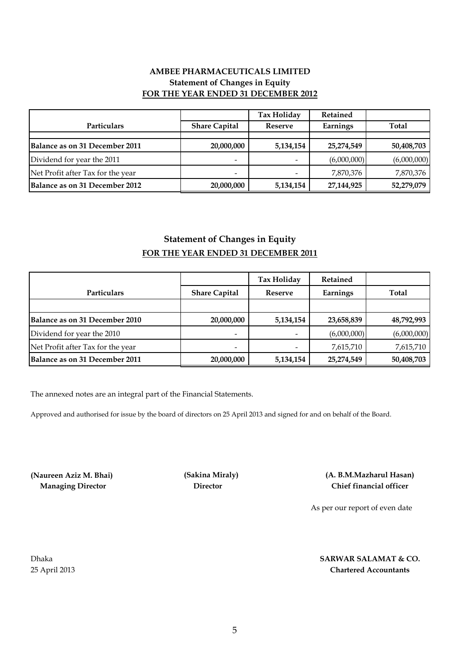## **AMBEE PHARMACEUTICALS LIMITED Statement of Changes in Equity FOR THE YEAR ENDED 31 DECEMBER 2012**

|                                   |                          | <b>Tax Holiday</b> | Retained    |              |
|-----------------------------------|--------------------------|--------------------|-------------|--------------|
| Particulars                       | <b>Share Capital</b>     | Reserve            | Earnings    | <b>Total</b> |
|                                   |                          |                    |             |              |
| Balance as on 31 December 2011    | 20,000,000               | 5,134,154          | 25,274,549  | 50,408,703   |
| Dividend for year the 2011        |                          |                    | (6,000,000) | (6,000,000)  |
| Net Profit after Tax for the year | $\overline{\phantom{0}}$ |                    | 7,870,376   | 7,870,376    |
| Balance as on 31 December 2012    | 20,000,000               | 5,134,154          | 27,144,925  | 52,279,079   |

## **Statement of Changes in Equity FOR THE YEAR ENDED 31 DECEMBER 2011**

|                                   |                              | Tax Holiday | <b>Retained</b> |             |
|-----------------------------------|------------------------------|-------------|-----------------|-------------|
| <b>Particulars</b>                | <b>Share Capital</b>         | Reserve     | Earnings        | Total       |
|                                   |                              |             |                 |             |
| Balance as on 31 December 2010    | 20,000,000                   | 5,134,154   | 23,658,839      | 48,792,993  |
| Dividend for year the 2010        | $\qquad \qquad \blacksquare$ |             | (6,000,000)     | (6,000,000) |
| Net Profit after Tax for the year | $\qquad \qquad \blacksquare$ |             | 7,615,710       | 7,615,710   |
| Balance as on 31 December 2011    | 20,000,000                   | 5,134,154   | 25,274,549      | 50,408,703  |

The annexed notes are an integral part of the Financial Statements.

Approved and authorised for issue by the board of directors on 25 April 2013 and signed for and on behalf of the Board.

**(Naureen Aziz M. Bhai) (Sakina Miraly) Managing Director Director**

**Chief financial officer (A. B.M.Mazharul Hasan)**

As per our report of even date

Dhaka 25 April 2013

### **Chartered Accountants SARWAR SALAMAT & CO.**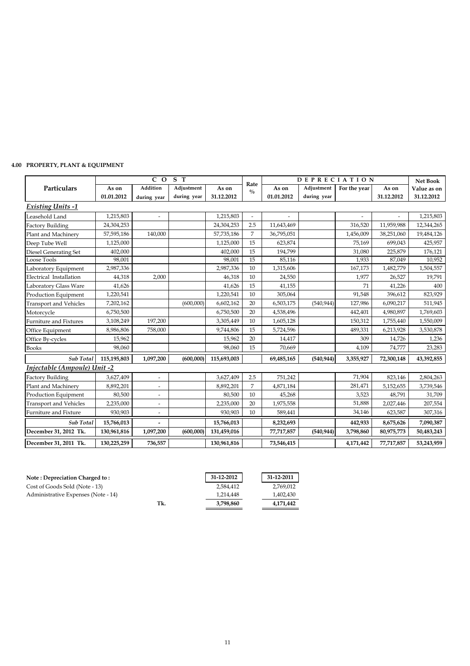## **4.00 PROPERTY, PLANT & EQUIPMENT**

|                               |             | $C$ O                    | S T         |             |                       | <b>DEPRECIATION</b> |             | <b>Net Book</b> |            |             |
|-------------------------------|-------------|--------------------------|-------------|-------------|-----------------------|---------------------|-------------|-----------------|------------|-------------|
| Particulars                   | As on       | Addition                 | Adjustment  | As on       | Rate<br>$\frac{0}{0}$ | As on               | Adjustment  | For the year    | As on      | Value as on |
|                               | 01.01.2012  | during year              | during year | 31.12.2012  |                       | 01.01.2012          | during year |                 | 31.12.2012 | 31.12.2012  |
| <b>Existing Units -1</b>      |             |                          |             |             |                       |                     |             |                 |            |             |
| Leasehold Land                | 1,215,803   |                          |             | 1,215,803   | $\sim$                |                     |             |                 |            | 1,215,803   |
| <b>Factory Building</b>       | 24,304,253  |                          |             | 24,304,253  | 2.5                   | 11,643,469          |             | 316,520         | 11,959,988 | 12,344,265  |
| Plant and Machinery           | 57,595,186  | 140,000                  |             | 57,735,186  | $\overline{7}$        | 36,795,051          |             | 1,456,009       | 38,251,060 | 19,484,126  |
| Deep Tube Well                | 1,125,000   |                          |             | 1,125,000   | 15                    | 623,874             |             | 75,169          | 699,043    | 425,957     |
| <b>Diesel Generating Set</b>  | 402,000     |                          |             | 402,000     | 15                    | 194,799             |             | 31,080          | 225,879    | 176,121     |
| Loose Tools                   | 98,001      |                          |             | 98,001      | 15                    | 85,116              |             | 1,933           | 87,049     | 10,952      |
| Laboratory Equipment          | 2,987,336   |                          |             | 2,987,336   | 10                    | 1,315,606           |             | 167,173         | 1,482,779  | 1,504,557   |
| Electrical Installation       | 44,318      | 2,000                    |             | 46,318      | 10                    | 24,550              |             | 1,977           | 26,527     | 19,791      |
| Laboratory Glass Ware         | 41,626      |                          |             | 41,626      | 15                    | 41,155              |             | 71              | 41,226     | 400         |
| <b>Production Equipment</b>   | 1,220,541   |                          |             | 1,220,541   | 10                    | 305,064             |             | 91,548          | 396,612    | 823,929     |
| <b>Transport and Vehicles</b> | 7,202,162   |                          | (600,000)   | 6,602,162   | 20                    | 6,503,175           | (540, 944)  | 127,986         | 6,090,217  | 511,945     |
| Motorcycle                    | 6,750,500   |                          |             | 6,750,500   | 20                    | 4,538,496           |             | 442,401         | 4,980,897  | 1,769,603   |
| <b>Furniture and Fixtures</b> | 3,108,249   | 197,200                  |             | 3,305,449   | 10                    | 1,605,128           |             | 150,312         | 1,755,440  | 1,550,009   |
| Office Equipment              | 8,986,806   | 758,000                  |             | 9,744,806   | 15                    | 5,724,596           |             | 489,331         | 6,213,928  | 3,530,878   |
| Office By-cycles              | 15,962      |                          |             | 15,962      | 20                    | 14,417              |             | 309             | 14,726     | 1,236       |
| <b>Books</b>                  | 98,060      |                          |             | 98,060      | 15                    | 70,669              |             | 4,109           | 74,777     | 23,283      |
| Sub Total                     | 115,195,803 | 1,097,200                | (600,000)   | 115,693,003 |                       | 69,485,165          | (540, 944)  | 3,355,927       | 72,300,148 | 43,392,855  |
| Injectable (Ampoule) Unit -2  |             |                          |             |             |                       |                     |             |                 |            |             |
| <b>Factory Building</b>       | 3,627,409   | $\overline{a}$           |             | 3,627,409   | 2.5                   | 751,242             |             | 71,904          | 823,146    | 2,804,263   |
| Plant and Machinery           | 8,892,201   | $\qquad \qquad =$        |             | 8,892,201   | $\overline{7}$        | 4,871,184           |             | 281,471         | 5,152,655  | 3,739,546   |
| <b>Production Equipment</b>   | 80,500      | $\overline{\phantom{0}}$ |             | 80,500      | 10                    | 45,268              |             | 3,523           | 48,791     | 31,709      |
| <b>Transport and Vehicles</b> | 2,235,000   | $\overline{\phantom{a}}$ |             | 2,235,000   | 20                    | 1,975,558           |             | 51,888          | 2,027,446  | 207,554     |
| Furniture and Fixture         | 930,903     |                          |             | 930,903     | 10                    | 589,441             |             | 34,146          | 623,587    | 307,316     |
| Sub Total                     | 15,766,013  |                          |             | 15,766,013  |                       | 8,232,693           |             | 442,933         | 8,675,626  | 7,090,387   |
| December 31, 2012 Tk.         | 130,961,816 | 1,097,200                | (600,000)   | 131,459,016 |                       | 77,717,857          | (540, 944)  | 3,798,860       | 80,975,773 | 50,483,243  |
| December 31, 2011 Tk.         | 130,225,259 | 736,557                  |             | 130,961,816 |                       | 73,546,415          |             | 4,171,442       | 77,717,857 | 53,243,959  |

| <b>Note: Depreciation Charged to:</b> |     | 31-12-2012 | 31-12-2011 |
|---------------------------------------|-----|------------|------------|
| Cost of Goods Sold (Note - 13)        |     | 2.584.412  | 2,769,012  |
| Administrative Expenses (Note - 14)   |     | 1,214,448  | 1,402,430  |
|                                       | Tk. | 3,798,860  | 4,171,442  |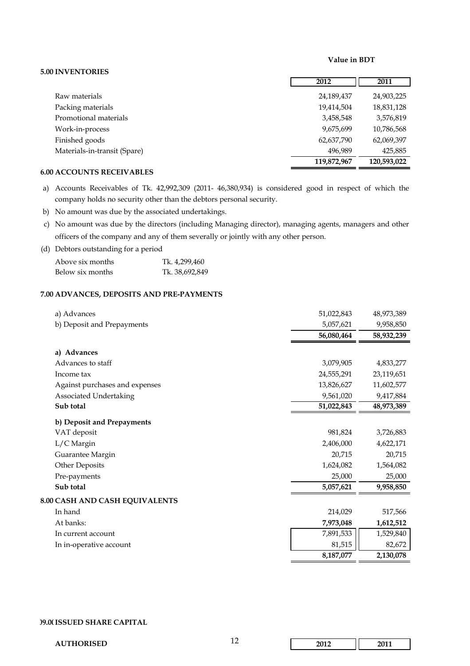#### **Value in BDT**

## **2012 2011** Raw materials 24,189,437 24,903,225 Packing materials 19,414,504 18,831,128 Promotional materials 3,458,548 3,576,819 Work-in-process 10,786,568 9,675,699 10,786,568 Finished goods 62,637,790 62,069,397 Materials-in-transit (Spare) 496,989 425,885  **120,593,022 119,872,967**

## **6.00 ACCOUNTS RECEIVABLES**

**5.00 INVENTORIES** 

- a) Accounts Receivables of Tk. 42,992,309 (2011- 46,380,934) is considered good in respect of which the company holds no security other than the debtors personal security.
- b) No amount was due by the associated undertakings.
- c) No amount was due by the directors (including Managing director), managing agents, managers and other officers of the company and any of them severally or jointly with any other person.
- (d) Debtors outstanding for a period

| Above six months | Tk. 4,299,460  |
|------------------|----------------|
| Below six months | Tk. 38,692,849 |

### **7.00 ADVANCES, DEPOSITS AND PRE-PAYMENTS**

| a) Advances                    | 51,022,843 | 48,973,389 |
|--------------------------------|------------|------------|
| b) Deposit and Prepayments     | 5,057,621  | 9,958,850  |
|                                | 56,080,464 | 58,932,239 |
| a) Advances                    |            |            |
| Advances to staff              | 3,079,905  | 4,833,277  |
| Income tax                     | 24,555,291 | 23,119,651 |
| Against purchases and expenses | 13,826,627 | 11,602,577 |
| <b>Associated Undertaking</b>  | 9,561,020  | 9,417,884  |
| Sub total                      | 51,022,843 | 48,973,389 |
| b) Deposit and Prepayments     |            |            |
| VAT deposit                    | 981,824    | 3,726,883  |
| L/C Margin                     | 2,406,000  | 4,622,171  |
| Guarantee Margin               | 20,715     | 20,715     |
| Other Deposits                 | 1,624,082  | 1,564,082  |
| Pre-payments                   | 25,000     | 25,000     |
| Sub total                      | 5,057,621  | 9,958,850  |
| 8.00 CASH AND CASH EQUIVALENTS |            |            |
| In hand                        | 214,029    | 517,566    |
| At banks:                      | 7,973,048  | 1,612,512  |
| In current account             | 7,891,533  | 1,529,840  |
| In in-operative account        | 81,515     | 82,672     |
|                                | 8,187,077  | 2,130,078  |
|                                |            |            |

### **09.00ISSUED SHARE CAPITAL**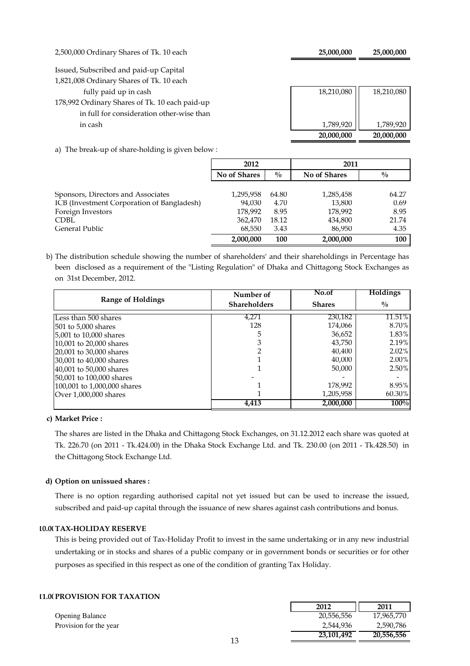2,500,000 Ordinary Shares of Tk. 10 each **25,000,000 25,000,000** 

Issued, Subscribed and paid-up Capital

1,821,008 Ordinary Shares of Tk. 10 each

a) The break-up of share-holding is given below :

|                                                | 20,000,000 | 20,000,000 |
|------------------------------------------------|------------|------------|
| in cash                                        | 1,789,920  | 1,789,920  |
| in full for consideration other-wise than      |            |            |
| 178,992 Ordinary Shares of Tk. 10 each paid-up |            |            |
| fully paid up in cash                          | 18,210,080 | 18,210,080 |
| 1,821,008 Ordinary Shares of Tk. 10 each       |            |            |

|                                            | 2012         |               | 2011         |               |
|--------------------------------------------|--------------|---------------|--------------|---------------|
|                                            | No of Shares | $\frac{0}{0}$ | No of Shares | $\frac{0}{0}$ |
| Sponsors, Directors and Associates         | 1,295,958    | 64.80         | 1,285,458    | 64.27         |
| ICB (Investment Corporation of Bangladesh) | 94,030       | 4.70          | 13,800       | 0.69          |
| Foreign Investors                          | 178,992      | 8.95          | 178,992      | 8.95          |
| CDBL                                       | 362,470      | 18.12         | 434,800      | 21.74         |
| General Public                             | 68,550       | 3.43          | 86,950       | 4.35          |
|                                            | 2,000,000    | 100           | 2,000,000    | 100           |

b) The distribution schedule showing the number of shareholders' and their shareholdings in Percentage has been disclosed as a requirement of the "Listing Regulation" of Dhaka and Chittagong Stock Exchanges as on 31st December, 2012.

|                             | Number of           | No.of         | <b>Holdings</b> |
|-----------------------------|---------------------|---------------|-----------------|
| <b>Range of Holdings</b>    | <b>Shareholders</b> | <b>Shares</b> | $\frac{0}{0}$   |
| Less than 500 shares        | 4,271               | 230,182       | 11.51%          |
| 501 to 5,000 shares         | 128                 | 174,066       | 8.70%           |
| 5,001 to 10,000 shares      | 5                   | 36,652        | 1.83%           |
| 10,001 to 20,000 shares     |                     | 43,750        | 2.19%           |
| 20,001 to 30,000 shares     |                     | 40,400        | $2.02\%$        |
| 30,001 to 40,000 shares     |                     | 40,000        | $2.00\%$        |
| 40,001 to 50,000 shares     |                     | 50,000        | 2.50%           |
| 50,001 to 100,000 shares    |                     |               |                 |
| 100,001 to 1,000,000 shares |                     | 178,992       | 8.95%           |
| Over 1,000,000 shares       |                     | 1,205,958     | 60.30%          |
|                             | 4,413               | 2,000,000     | 100%            |

**c) Market Price :**

The shares are listed in the Dhaka and Chittagong Stock Exchanges, on 31.12.2012 each share was quoted at Tk. 226.70 (on 2011 - Tk.424.00) in the Dhaka Stock Exchange Ltd. and Tk. 230.00 (on 2011 - Tk.428.50) in the Chittagong Stock Exchange Ltd.

## **d) Option on unissued shares :**

There is no option regarding authorised capital not yet issued but can be used to increase the issued, subscribed and paid-up capital through the issuance of new shares against cash contributions and bonus.

## **10.00TAX-HOLIDAY RESERVE**

This is being provided out of Tax-Holiday Profit to invest in the same undertaking or in any new industrial undertaking or in stocks and shares of a public company or in government bonds or securities or for other purposes as specified in this respect as one of the condition of granting Tax Holiday.

## **11.00 PROVISION FOR TAXATION**

Opening Balance Provision for the year

| 2012       | 2011       |
|------------|------------|
| 20,556,556 | 17,965,770 |
| 2,544,936  | 2,590,786  |
| 23,101,492 | 20,556,556 |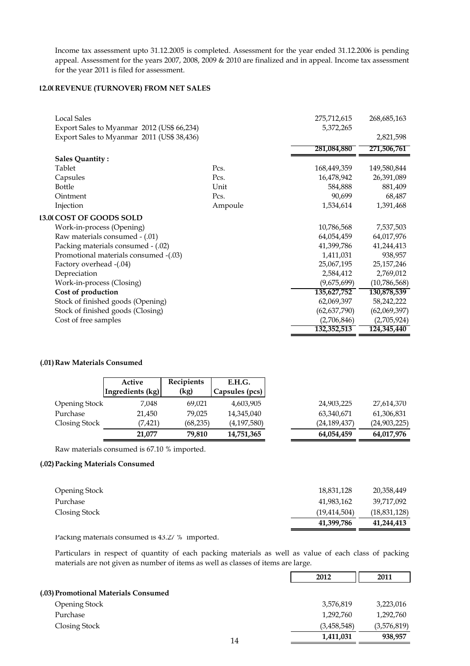Income tax assessment upto 31.12.2005 is completed. Assessment for the year ended 31.12.2006 is pending appeal. Assessment for the years 2007, 2008, 2009 & 2010 are finalized and in appeal. Income tax assessment for the year 2011 is filed for assessment.

### **12.00REVENUE (TURNOVER) FROM NET SALES**

| <b>Local Sales</b>                         |         | 275,712,615    | 268,685,163  |
|--------------------------------------------|---------|----------------|--------------|
| Export Sales to Myanmar 2012 (US\$ 66,234) |         | 5,372,265      |              |
| Export Sales to Myanmar 2011 (US\$ 38,436) |         |                | 2,821,598    |
|                                            |         | 281,084,880    | 271,506,761  |
| <b>Sales Quantity:</b>                     |         |                |              |
| Tablet                                     | Pcs.    | 168,449,359    | 149,580,844  |
| Capsules                                   | Pcs.    | 16,478,942     | 26,391,089   |
| <b>Bottle</b>                              | Unit    | 584,888        | 881,409      |
| Ointment                                   | Pcs.    | 90,699         | 68,487       |
| Injection                                  | Ampoule | 1,534,614      | 1,391,468    |
| 13.0(COST OF GOODS SOLD                    |         |                |              |
| Work-in-process (Opening)                  |         | 10,786,568     | 7,537,503    |
| Raw materials consumed - (.01)             |         | 64,054,459     | 64,017,976   |
| Packing materials consumed - (.02)         |         | 41,399,786     | 41,244,413   |
| Promotional materials consumed -(.03)      |         | 1,411,031      | 938,957      |
| Factory overhead -(.04)                    |         | 25,067,195     | 25,157,246   |
| Depreciation                               |         | 2,584,412      | 2,769,012    |
| Work-in-process (Closing)                  |         | (9,675,699)    | (10,786,568) |
| Cost of production                         |         | 135,627,752    | 130,878,539  |
| Stock of finished goods (Opening)          |         | 62,069,397     | 58,242,222   |
| Stock of finished goods (Closing)          |         | (62, 637, 790) | (62,069,397) |
| Cost of free samples                       |         | (2,706,846)    | (2,705,924)  |
|                                            |         | 132,352,513    | 124,345,440  |

### **(.01)Raw Materials Consumed**

|                      | Active           | Recipients | E.H.G.         |                |              |
|----------------------|------------------|------------|----------------|----------------|--------------|
|                      | Ingredients (kg) | (kg)       | Capsules (pcs) |                |              |
| <b>Opening Stock</b> | 7,048            | 69,021     | 4,603,905      | 24,903,225     | 27,614,370   |
| Purchase             | 21,450           | 79,025     | 14,345,040     | 63,340,671     | 61,306,831   |
| Closing Stock        | (7,421)          | (68, 235)  | (4,197,580)    | (24, 189, 437) | (24,903,225) |
|                      | 21,077           | 79,810     | 14,751,365     | 64,054,459     | 64,017,976   |

Raw materials consumed is 67.10 % imported.

### **(.02)Packing Materials Consumed**

|                      | 41,399,786     | 41,244,413   |
|----------------------|----------------|--------------|
| Closing Stock        | (19, 414, 504) | (18,831,128) |
| Purchase             | 41,983,162     | 39,717,092   |
| <b>Opening Stock</b> | 18,831,128     | 20,358,449   |
|                      |                |              |

Packing materials consumed is 43.27 % imported.

Particulars in respect of quantity of each packing materials as well as value of each class of packing materials are not given as number of items as well as classes of items are large.

|                                      | 2012        | 2011        |
|--------------------------------------|-------------|-------------|
| (.03) Promotional Materials Consumed |             |             |
| <b>Opening Stock</b>                 | 3,576,819   | 3,223,016   |
| Purchase                             | 1,292,760   | 1,292,760   |
| Closing Stock                        | (3,458,548) | (3,576,819) |
| 14                                   | 1,411,031   | 938,957     |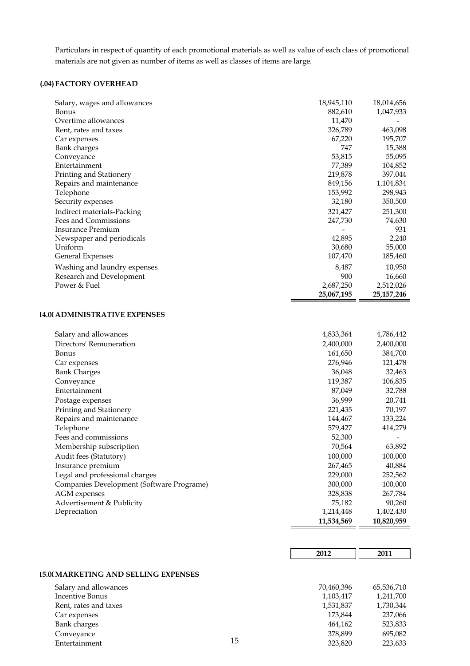Particulars in respect of quantity of each promotional materials as well as value of each class of promotional materials are not given as number of items as well as classes of items are large.

## **(.04)FACTORY OVERHEAD**

| Salary, wages and allowances | 18,945,110 | 18,014,656 |
|------------------------------|------------|------------|
| Bonus                        | 882,610    | 1,047,933  |
| Overtime allowances          | 11,470     |            |
| Rent, rates and taxes        | 326,789    | 463,098    |
| Car expenses                 | 67,220     | 195,707    |
| <b>Bank charges</b>          | 747        | 15,388     |
| Conveyance                   | 53,815     | 55,095     |
| Entertainment                | 77,389     | 104,852    |
| Printing and Stationery      | 219,878    | 397,044    |
| Repairs and maintenance      | 849,156    | 1,104,834  |
| Telephone                    | 153,992    | 298,943    |
| Security expenses            | 32,180     | 350,500    |
| Indirect materials-Packing   | 321,427    | 251,300    |
| Fees and Commissions         | 247,730    | 74,630     |
| <b>Insurance Premium</b>     |            | 931        |
| Newspaper and periodicals    | 42,895     | 2,240      |
| Uniform                      | 30,680     | 55,000     |
| <b>General Expenses</b>      | 107,470    | 185,460    |
| Washing and laundry expenses | 8,487      | 10,950     |
| Research and Development     | 900        | 16,660     |
| Power & Fuel                 | 2,687,250  | 2,512,026  |
|                              | 25,067,195 | 25,157,246 |

### **14.00ADMINISTRATIVE EXPENSES**

|                                           | 11,534,569 | 10,820,959 |
|-------------------------------------------|------------|------------|
| Depreciation                              | 1,214,448  | 1,402,430  |
| Advertisement & Publicity                 | 75,182     | 90,260     |
| AGM expenses                              | 328,838    | 267,784    |
| Companies Development (Software Programe) | 300,000    | 100,000    |
| Legal and professional charges            | 229,000    | 252,562    |
| Insurance premium                         | 267,465    | 40,884     |
| Audit fees (Statutory)                    | 100,000    | 100,000    |
| Membership subscription                   | 70,564     | 63,892     |
| Fees and commissions                      | 52,300     |            |
| Telephone                                 | 579,427    | 414,279    |
| Repairs and maintenance                   | 144,467    | 133,224    |
| Printing and Stationery                   | 221,435    | 70,197     |
| Postage expenses                          | 36,999     | 20,741     |
| Entertainment                             | 87,049     | 32,788     |
| Conveyance                                | 119,387    | 106,835    |
| <b>Bank Charges</b>                       | 36,048     | 32,463     |
| Car expenses                              | 276,946    | 121,478    |
| <b>Bonus</b>                              | 161,650    | 384,700    |
| Directors' Remuneration                   | 2,400,000  | 2,400,000  |
| Salary and allowances                     | 4,833,364  | 4,786,442  |

|                                      |    | 2012       | 2011       |
|--------------------------------------|----|------------|------------|
|                                      |    |            |            |
| 15.00 MARKETING AND SELLING EXPENSES |    |            |            |
| Salary and allowances                |    | 70,460,396 | 65,536,710 |
| <b>Incentive Bonus</b>               |    | 1,103,417  | 1,241,700  |
| Rent, rates and taxes                |    | 1,531,837  | 1,730,344  |
| Car expenses                         |    | 173,844    | 237,066    |
| <b>Bank</b> charges                  |    | 464,162    | 523,833    |
| Conveyance                           |    | 378,899    | 695,082    |
| Entertainment                        | 15 | 323,820    | 223,633    |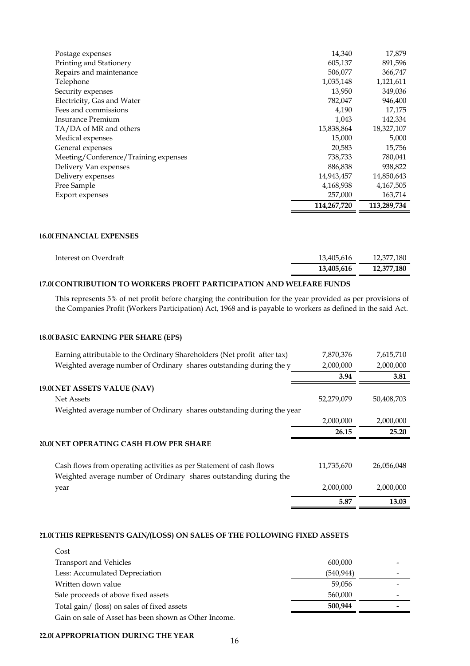| Postage expenses                     | 14,340      | 17,879      |
|--------------------------------------|-------------|-------------|
| Printing and Stationery              | 605,137     | 891,596     |
| Repairs and maintenance              | 506,077     | 366,747     |
| Telephone                            | 1,035,148   | 1,121,611   |
| Security expenses                    | 13,950      | 349,036     |
| Electricity, Gas and Water           | 782,047     | 946,400     |
| Fees and commissions                 | 4,190       | 17,175      |
| <b>Insurance Premium</b>             | 1,043       | 142,334     |
| TA/DA of MR and others               | 15,838,864  | 18,327,107  |
| Medical expenses                     | 15,000      | 5,000       |
| General expenses                     | 20,583      | 15,756      |
| Meeting/Conference/Training expenses | 738,733     | 780,041     |
| Delivery Van expenses                | 886,838     | 938,822     |
| Delivery expenses                    | 14,943,457  | 14,850,643  |
| Free Sample                          | 4,168,938   | 4,167,505   |
| <b>Export expenses</b>               | 257,000     | 163,714     |
|                                      | 114,267,720 | 113,289,734 |

### **16.00 FINANCIAL EXPENSES**

|                       | 13,405,616 | 12,377,180 |
|-----------------------|------------|------------|
| Interest on Overdraft | 13,405,616 | 12,377,180 |

## **17.00CONTRIBUTION TO WORKERS PROFIT PARTICIPATION AND WELFARE FUNDS**

This represents 5% of net profit before charging the contribution for the year provided as per provisions of the Companies Profit (Workers Participation) Act, 1968 and is payable to workers as defined in the said Act.

### **18.00BASIC EARNING PER SHARE (EPS)**

| Earning attributable to the Ordinary Shareholders (Net profit after tax) | 7,870,376         | 7,615,710          |
|--------------------------------------------------------------------------|-------------------|--------------------|
| Weighted average number of Ordinary shares outstanding during the y      | 2,000,000         | 2,000,000          |
|                                                                          | 3.94              | 3.81               |
| 19.0(NET ASSETS VALUE (NAV)                                              |                   |                    |
| Net Assets                                                               | 52,279,079        | 50,408,703         |
| Weighted average number of Ordinary shares outstanding during the year   |                   |                    |
|                                                                          | 2,000,000         | 2,000,000          |
|                                                                          | 26.15             | 25.20              |
| 20.0( NET OPERATING CASH FLOW PER SHARE                                  |                   |                    |
|                                                                          |                   |                    |
| Cash flows from operating activities as per Statement of cash flows      | 11,735,670        | 26,056,048         |
| Weighted average number of Ordinary shares outstanding during the        |                   |                    |
| year                                                                     | 2,000,000<br>5.87 | 2,000,000<br>13.03 |

## **21.00THIS REPRESENTS GAIN/(LOSS) ON SALES OF THE FOLLOWING FIXED ASSETS**

| Cost                                                  |            |  |
|-------------------------------------------------------|------------|--|
| <b>Transport and Vehicles</b>                         | 600,000    |  |
| Less: Accumulated Depreciation                        | (540, 944) |  |
| Written down value                                    | 59,056     |  |
| Sale proceeds of above fixed assets                   | 560,000    |  |
| Total gain/ (loss) on sales of fixed assets           | 500,944    |  |
| Gain on sale of Asset has been shown as Other Income. |            |  |

### **22.00APPROPRIATION DURING THE YEAR**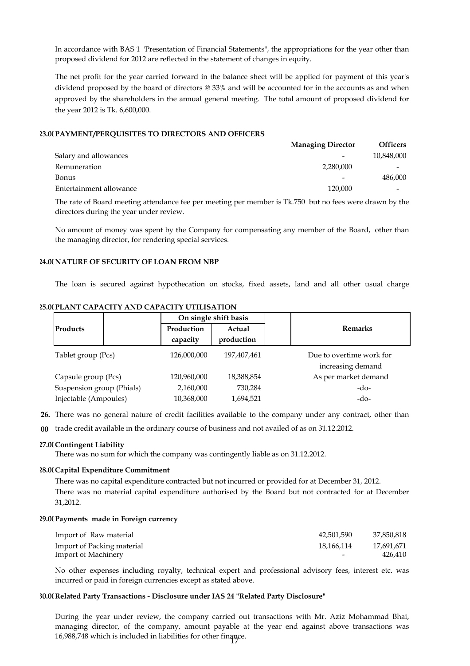In accordance with BAS 1 "Presentation of Financial Statements", the appropriations for the year other than proposed dividend for 2012 are reflected in the statement of changes in equity.

The net profit for the year carried forward in the balance sheet will be applied for payment of this year's dividend proposed by the board of directors @ 33% and will be accounted for in the accounts as and when approved by the shareholders in the annual general meeting. The total amount of proposed dividend for the year 2012 is Tk. 6,600,000.

### **23.00PAYMENT/PERQUISITES TO DIRECTORS AND OFFICERS**

|                         | <b>Managing Director</b> | <b>Officers</b>          |
|-------------------------|--------------------------|--------------------------|
| Salary and allowances   |                          | 10,848,000               |
| Remuneration            | 2,280,000                | $\overline{\phantom{0}}$ |
| <b>Bonus</b>            |                          | 486,000                  |
| Entertainment allowance | 120,000                  | $\overline{\phantom{0}}$ |

The rate of Board meeting attendance fee per meeting per member is Tk.750 but no fees were drawn by the directors during the year under review.

No amount of money was spent by the Company for compensating any member of the Board, other than the managing director, for rendering special services.

### **24.00 NATURE OF SECURITY OF LOAN FROM NBP**

The loan is secured against hypothecation on stocks, fixed assets, land and all other usual charge

### **25.00 PLANT CAPACITY AND CAPACITY UTILISATION**

|                           | On single shift basis  |                      |                                               |  |
|---------------------------|------------------------|----------------------|-----------------------------------------------|--|
| Products                  | Production<br>capacity | Actual<br>production | <b>Remarks</b>                                |  |
| Tablet group (Pcs)        | 126,000,000            | 197,407,461          | Due to overtime work for<br>increasing demand |  |
| Capsule group (Pcs)       | 120,960,000            | 18,388,854           | As per market demand                          |  |
| Suspension group (Phials) | 2,160,000              | 730,284              | $-do-$                                        |  |
| Injectable (Ampoules)     | 10,368,000             | 1,694,521            | $-do-$                                        |  |

**26.** There was no general nature of credit facilities available to the company under any contract, other than

**00** trade credit available in the ordinary course of business and not availed of as on 31.12.2012.

### **27.00Contingent Liability**

There was no sum for which the company was contingently liable as on 31.12.2012.

### **28.00Capital Expenditure Commitment**

There was no capital expenditure contracted but not incurred or provided for at December 31, 2012. There was no material capital expenditure authorised by the Board but not contracted for at December 31,2012.

### **29.00 Payments made in Foreign currency**

| Import of Raw material     | 42,501,590 | 37,850,818 |
|----------------------------|------------|------------|
| Import of Packing material | 18,166,114 | 17,691,671 |
| Import of Machinery        | -          | 426,410    |

No other expenses including royalty, technical expert and professional advisory fees, interest etc. was incurred or paid in foreign currencies except as stated above.

### **30.00Related Party Transactions - Disclosure under IAS 24 "Related Party Disclosure"**

During the year under review, the company carried out transactions with Mr. Aziz Mohammad Bhai, managing director, of the company, amount payable at the year end against above transactions was 16,988,748 which is included in liabilities for other finance. 17